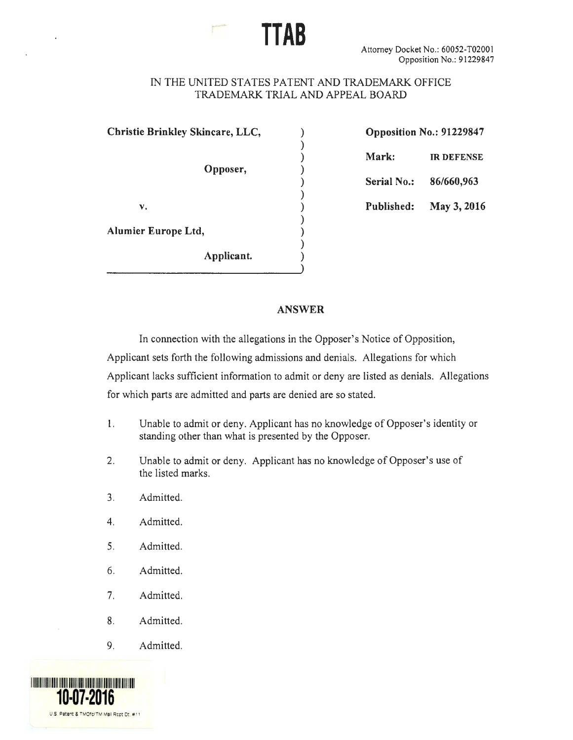## IN THE UNITED STATES PATENT AND TRADEMARK OFFICE TRADEMARK TRIAL AND APPEAL BOARD

)

)

)

)

**TTAB** 

**Christie Brinkley Skincare, LLC,** ) **Opposition No.: 91229847** 

**Opposer,** )

**Alumier Europe Ltd,** )

**Applicant.** )

) **Mark: IR DEFENSE** 

) **Serial No.: 86/660,963** 

v. ) **Published: May 3, 2016** 

## **ANSWER**

In connection with the allegations in the Opposer's Notice of Opposition, Applicant sets forth the following admissions and denials. Allegations for which Applicant lacks sufficient information to admit or deny are listed as denials. Allegations for which parts are admitted and parts are denied are so stated.

- l. Unable to admit or deny. Applicant has no knowledge of Opposer's identity or standing other than what is presented by the Opposer.
- 2. Unable to admit or deny. Applicant has no knowledge of Opposer's use of the listed marks.
- 3. Admitted.
- 4. Admitted.
- 5. Admitted.
- 6. Admitted.
- 7. Admitted.
- 8. Admitted.
- 9. Admitted.

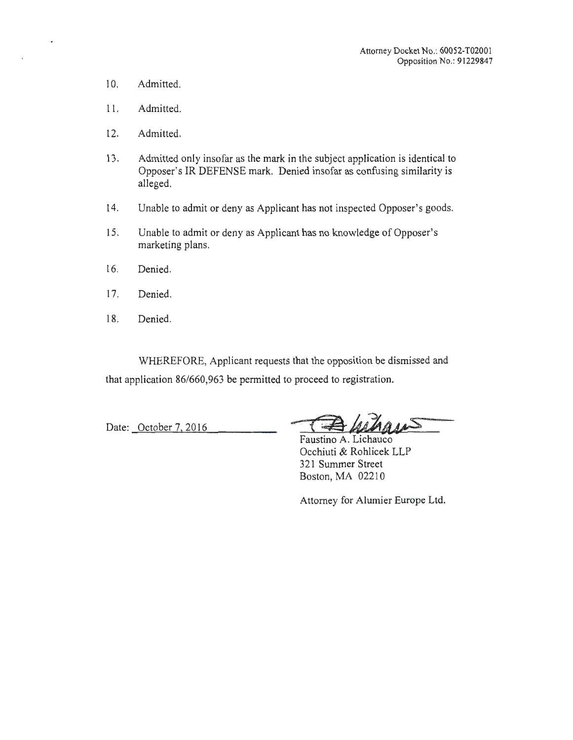- 10. Admitted.
- 11. Admitted.
- 12. Admitted.
- 13. Admitted only insofar as the mark in the subject application is identical to Opposer's IR DEFENSE mark. Denied insofar as confusing similarity is alleged.
- 14. Unable to admit or deny as Applicant has not inspected Opposer's goods.
- 15. Unable to admit or deny as Applicant has no knowledge of Opposer's marketing plans.
- 16. Denied.
- 17. Denied.
- 18. Denied.

WHEREFORE, Applicant requests that the opposition be dismissed and that application 86/660,963 be permitted to proceed to registration.

Date: October 7, 2016 -- <del>[ B MAMBAS</del>

Faustino A. Lichauco Occhiuti & Rohlicek LLP 321 Summer Street Boston, MA 02210

Attorney for Alumier Europe Ltd.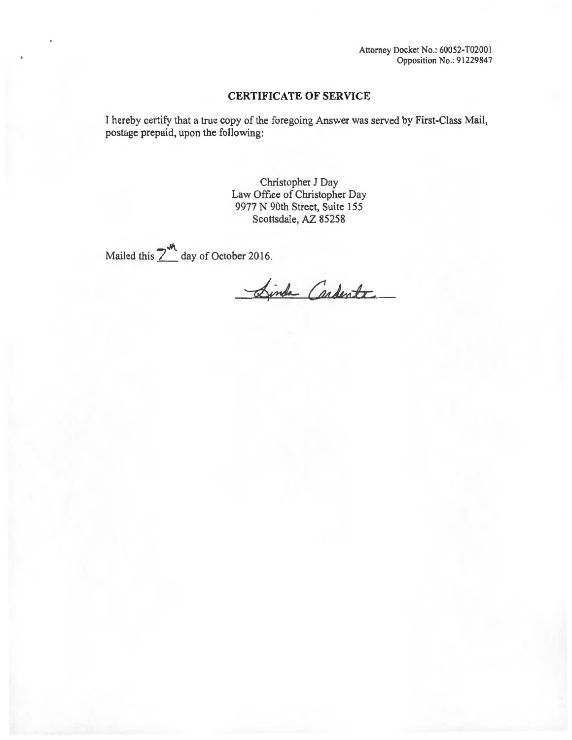Attorney Docket No.: 60052-T0200 1 Opposition No.: 91229847

## **CERTIFICATE OF SERVICE**

I hereby certify that a true copy of the foregoing Answer was served by First-Class Mail, postage prepaid, upon the following:

> Christopher J Day Law Office of Christopher Day 9977 N 90th Street, Suite 155 Scottsdale, AZ 85258

Mailed this  $2^M$  day of October 2016.

Sinda Cardente